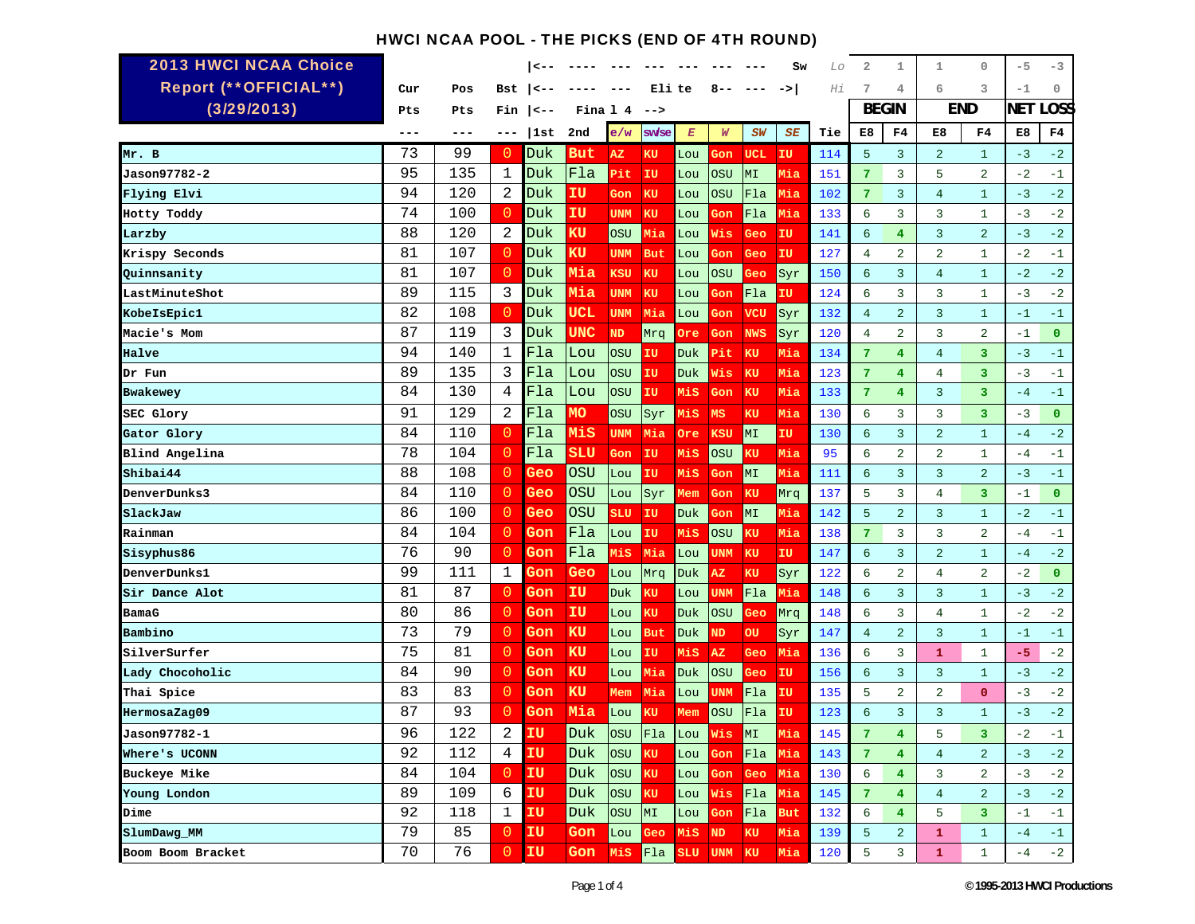# HWCI NCAA POOL - THE PICKS (END OF 4TH ROUND)

| <b>2013 HWCI NCAA Choice</b> |         |     |                |            |           |            |             |                  |            |            | Sw            | Lo  | 2               | 1                       | $\mathbf 1$    | $\circ$        | $-5$       | -3           |
|------------------------------|---------|-----|----------------|------------|-----------|------------|-------------|------------------|------------|------------|---------------|-----|-----------------|-------------------------|----------------|----------------|------------|--------------|
| Report (** OFFICIAL**)       | Cur     | Pos | Bst            | —>         |           | $- - -$    |             | Eli te           | 8--        |            | $\rightarrow$ | Ηi  | 7               | 4                       | 6              | 3              | $-1$       | 0            |
| (3/29/2013)                  | Pts     | Pts | Fin            | $ $ < - -  |           | Fina 14    | -->         |                  |            |            |               |     |                 | <b>BEGIN</b>            |                | <b>END</b>     | <b>NET</b> | <b>LOSS</b>  |
|                              | $- - -$ | --- | ---            | 1st        | 2nd       | e/w        | sw/se       | $\boldsymbol{E}$ | W          | SW         | SE            | Tie | E8              | F4                      | E8             | F4             | E8         | F4           |
| Mr. B                        | 73      | 99  | 0              | Duk        | But       | AZ         | KU          | Lou              | Gon        | <b>UCL</b> | IU            | 114 | 5               | $\overline{3}$          | 2              | $\mathbf{1}$   | $-3$       | $-2$         |
| Jason97782-2                 | 95      | 135 | 1              | Duk        | Fla       | Pit        | IU          | Lou              | OSU        | MI         | Mia           | 151 | 7               | 3                       | 5              | $\overline{a}$ | $-2$       | $-1$         |
| Flying Elvi                  | 94      | 120 | $\overline{2}$ | Duk        | IU        | Gon        | KU          | Lou              | <b>OSU</b> | Fla        | Mia           | 102 | 7               | 3                       | $\overline{4}$ | $\mathbf{1}$   | $-3$       | $-2$         |
| Hotty Toddy                  | 74      | 100 | $\overline{0}$ | Duk        | IU        | <b>UNM</b> | KU          | Lou              | Gon        | Fla        | Mia           | 133 | 6               | 3                       | 3              | $\mathbf{1}$   | $-3$       | $-2$         |
| Larzby                       | 88      | 120 | -2             | Duk        | κU        | <b>OSU</b> | Mia         | Lou              | Wis        | Geo        | IU            | 141 | 6               | $\overline{4}$          | $\overline{3}$ | $\overline{a}$ | $-3$       | $-2$         |
| Krispy Seconds               | 81      | 107 | $\overline{0}$ | Duk        | κU        | <b>UNM</b> | <b>But</b>  | Lou              | Gon        | Geo        | IU            | 127 | $\overline{4}$  | 2                       | $\overline{a}$ | $\mathbf{1}$   | $-2$       | $-1$         |
| Quinnsanity                  | 81      | 107 | $\overline{0}$ | Duk        | Mia       | KSU        | <b>KU</b>   | Lou              | OSU        | Geo        | Syr           | 150 | 6               | $\overline{3}$          | $\overline{4}$ | $\mathbf{1}$   | $-2$       | $-2$         |
| LastMinuteShot               | 89      | 115 | 3              | Duk        | Mia       | <b>UNM</b> | KU          | Lou              | Gon        | Fla        | ΙU            | 124 | 6               | 3                       | 3              | $\mathbf{1}$   | $-3$       | $-2$         |
| KobeIsEpic1                  | 82      | 108 | $\overline{0}$ | Duk        | UCL       | <b>UNM</b> | Mia         | Lou              | Gon        | <b>VCU</b> | Syr           | 132 | $\overline{4}$  | 2                       | $\overline{3}$ | $\mathbf{1}$   | $-1$       | $-1$         |
| Macie's Mom                  | 87      | 119 | 3              | Duk        | UNC       | <b>ND</b>  | Mrq         | Ore              | Gon        | <b>NWS</b> | Syr           | 120 | $\overline{4}$  | 2                       | $\overline{3}$ | $\overline{a}$ | $-1$       | $\mathbf{O}$ |
| Halve                        | 94      | 140 | $\mathbf 1$    | Fla        | Lou       | <b>OSU</b> | IU          | <b>Duk</b>       | Pit        | KU         | Mia           | 134 | $7\phantom{.0}$ | 4                       | $\overline{4}$ | 3              | $-3$       | $-1$         |
| Dr Fun                       | 89      | 135 | 3              | Fla        | Lou       | <b>OSU</b> | ΙU          | <b>Duk</b>       | Wis        | ΚU         | Mia           | 123 | 7               | 4                       | $\overline{4}$ | 3              | $-3$       | $-1$         |
| Bwakewey                     | 84      | 130 | 4              | Fla        | Lou       | <b>OSU</b> | ΙU          | Mis              | Gon        | <b>KU</b>  | Mia           | 133 | $7\phantom{.0}$ | 4                       | 3              | 3              | $-4$       | $-1$         |
| SEC Glory                    | 91      | 129 | $\overline{2}$ | Fla        | <b>MO</b> | <b>OSU</b> | Syr         | MiS              | MS         | KU         | Mia           | 130 | 6               | 3                       | 3              | 3              | $-3$       | $\mathbf{O}$ |
| Gator Glory                  | 84      | 110 | $\overline{0}$ | Fla        | MiS       | <b>UNM</b> | Mia         | Ore              | KSU        | MI         | IU            | 130 | 6               | 3                       | $\overline{a}$ | $\mathbf{1}$   | $-4$       | $-2$         |
| Blind Angelina               | 78      | 104 | $\overline{0}$ | Fla        | SLU       | Gon        | IU          | MiS              | <b>OSU</b> | ΚU         | Mia           | 95  | 6               | 2                       | $\overline{2}$ | 1              | $-4$       | $-1$         |
| Shibai44                     | 88      | 108 | 0              | Geo        | OSU       | Lou        | IU          | MiS              | Gon        | MI         | Mia           | 111 | 6               | $\overline{3}$          | $\overline{3}$ | $\overline{a}$ | $-3$       | $-1$         |
| <b>DenverDunks3</b>          | 84      | 110 | $\overline{0}$ | Geo        | OSU       | Lou        | Syr         | Mem              | Gon        | KU         | Mrq           | 137 | 5               | 3                       | 4              | 3              | $-1$       | $\mathbf{O}$ |
| SlackJaw                     | 86      | 100 | $\overline{0}$ | Geo        | OSU       | SLU        | IU          | <b>Duk</b>       | Gon        | MI         | Mia           | 142 | 5               | 2                       | $\overline{3}$ | $\mathbf{1}$   | $-2$       | $-1$         |
| Rainman                      | 84      | 104 | 0              | Gon        | Fla       | Lou        | IU          | Mis              | <b>OSU</b> | ΚU         | Mia           | 138 | 7               | 3                       | 3              | $\overline{2}$ | $-4$       | $-1$         |
| Sisyphus86                   | 76      | 90  | $\overline{0}$ | Gon        | Fla       | Mis        | Mia         | Lou              | UNM        | KU         | ΙU            | 147 | 6               | 3                       | $\overline{a}$ | $\mathbf{1}$   | $-4$       | $-2$         |
| <b>DenverDunks1</b>          | 99      | 111 | 1              | 3on        | Geo       | Lou        | Mrq         | <b>Duk</b>       | AZ.        | KU         | Syr           | 122 | 6               | $\overline{2}$          | $\overline{4}$ | $\overline{2}$ | $-2$       | $\mathbf{O}$ |
| Sir Dance Alot               | 81      | 87  | $\Omega$       | Gon        | IU        | Duk        | κU          | Lou              | UNM        | Fla        | Mia           | 148 | 6               | 3                       | $\mathbf{3}$   | $\mathbf{1}$   | $-3$       | $-2$         |
| BamaG                        | 80      | 86  | 0              | Gon        | IU        | Lou        | ΚU          | Duk              | <b>OSU</b> | Geo        | Mrq           | 148 | 6               | 3                       | $\overline{4}$ | $\mathbf{1}$   | $-2$       | $-2$         |
| Bambino                      | 73      | 79  | $\overline{0}$ | Gon        | <b>KU</b> | Lou        | But         | Duk.             | <b>ND</b>  | OU         | Syr           | 147 | $\overline{4}$  | $\overline{a}$          | $\overline{3}$ | $\mathbf{1}$   | $-1$       | $-1$         |
| SilverSurfer                 | 75      | 81  | 0              | Gon        | <b>KU</b> | Lou        | IU          | MiS              | AZ         | Geo        | Mia           | 136 | 6               | 3                       | $\mathbf{1}$   | 1              | $-5$       | $-2$         |
| Lady Chocoholic              | 84      | 90  | 0              | Gon        | KU        | Lou        | Mia         | Duk              | <b>OSU</b> | Geo        | IU            | 156 | 6               | $\overline{3}$          | 3              | $\mathbf{1}$   | $-3$       | $-2$         |
| Thai Spice                   | 83      | 83  | 0              | Gon        | <b>KU</b> | Mem        | Mia         | Lou              | UNM        | Fla        | ΙU            | 135 | 5               | $\sqrt{2}$              | $\overline{2}$ | $\mathbf{0}$   | $-3$       | $-2$         |
| HermosaZag09                 | 87      | 93  | 0              | Gon        | Mia       | Lou        | ΚU          | Mem              | <b>OSU</b> | Fla        | ΙU            | 123 | 6               | $\overline{3}$          | 3              | $\mathbf{1}$   | $-3$       | $-2$         |
| Jason97782-1                 | 96      | 122 | $\overline{a}$ | IU         | Duk       |            | $ OSU $ Fla | Lou              | Wis        | MI         |               | 145 | 7               | $\overline{\mathbf{4}}$ | 5              | 3              | $-2$       | $^{\rm -1}$  |
| Where's UCONN                | 92      | 112 | 4              | IU         | Duk       | <b>OSU</b> | KU          | Lou              | Gon        | Fla Mia    |               | 143 | 7               | $\overline{4}$          | $\overline{4}$ | 2              | $-3$       | $-2$         |
| Buckeye Mike                 | 84      | 104 | $\overline{0}$ | <b>IU</b>  | Duk       | <b>OSU</b> | KU          | Lou              | Gon        | Geo        | Mia           | 130 | 6               | $\overline{4}$          | 3              | 2              | $-3$       | $-2$         |
| Young London                 | 89      | 109 | 6              | IU         | Duk       | <b>OSU</b> | KU          | Lou              | Wis        | Fla        | Mia           | 145 | 7               | $\overline{4}$          | $\overline{4}$ | $\overline{a}$ | $-3$       | $-2$         |
| Dime                         | 92      | 118 | $\mathbf{1}$   | IU         | Duk       | <b>OSU</b> | MI          | Lou              | Gon        | Fla        | <b>But</b>    | 132 | 6               | $\overline{4}$          | 5              | 3              | $-1$       | $-1$         |
| SlumDawg MM                  | 79      | 85  | $\overline{0}$ | <b>IIU</b> | Gon       | Lou        | Geo         | Mis              | ND         | KU         | Mia           | 139 | 5               | $\overline{a}$          | $\mathbf{1}$   | $\mathbf{1}$   | $-4$       | $^{\rm -1}$  |
| Boom Boom Bracket            | 70      | 76  | $\mathbf{0}$   | <b>IIU</b> | Gon       |            |             | Mis Fla SLU UNM  |            | KU         | Mia           | 120 | 5               | 3                       | 1              | 1              | $-4$       | $-2$         |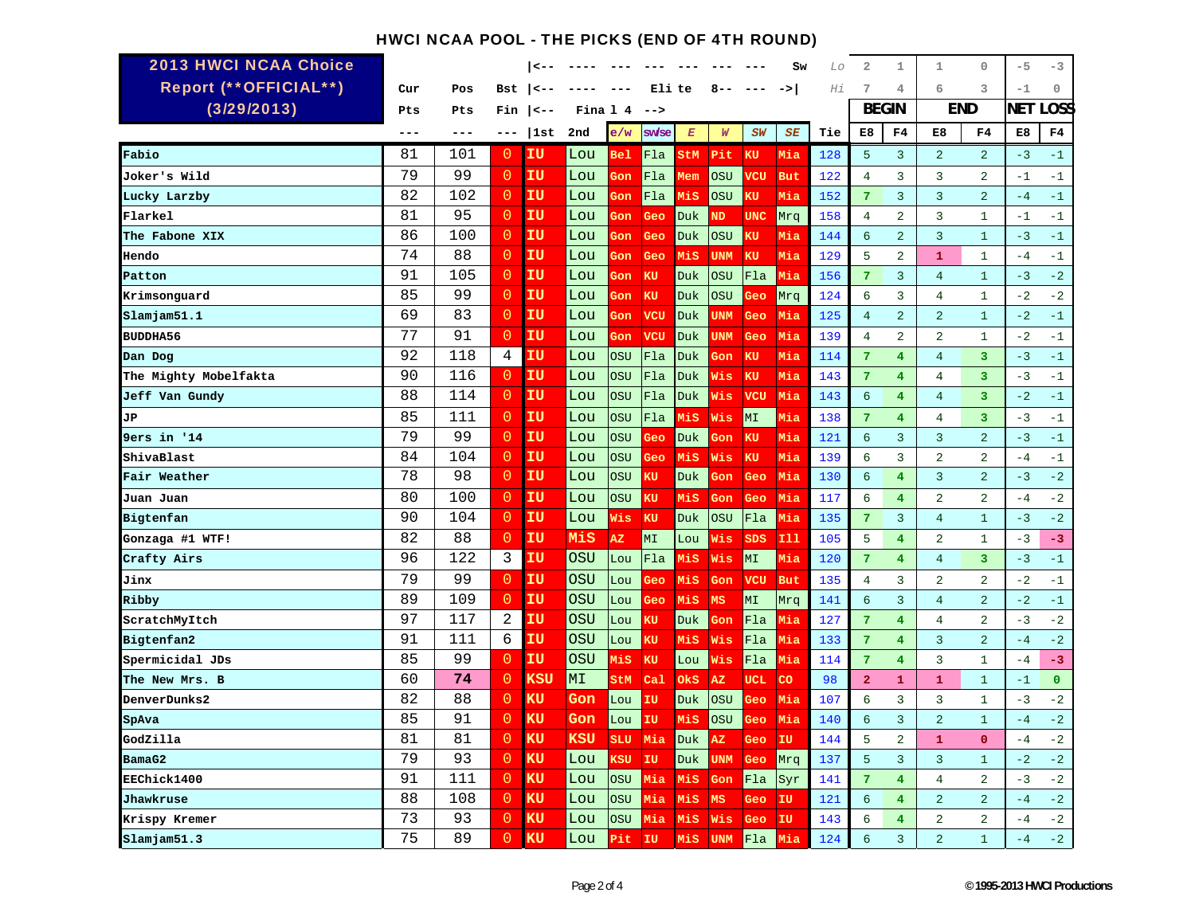### HWCI NCAA POOL - THE PICKS (END OF 4TH ROUND)

| <b>2013 HWCI NCAA Choice</b> |     |     |                |              |            |            |           |                  |                  |            | Sw         | Lo  | 2              | 1              | $\mathbf{1}$   | $\circ$        | $-5$       | $-3$         |
|------------------------------|-----|-----|----------------|--------------|------------|------------|-----------|------------------|------------------|------------|------------|-----|----------------|----------------|----------------|----------------|------------|--------------|
| Report (**OFFICIAL**)        | Cur | Pos | Bst            | $\checkmark$ |            |            | Eli te    |                  | 8                |            | ->         | Hi  | 7              | $\overline{4}$ | 6              | 3              | $-1$       | $\circ$      |
| (3/29/2013)                  | Pts | Pts | Fin            | <--          | Fina 1 4   |            | $--&>$    |                  |                  |            |            |     |                | <b>BEGIN</b>   | END            |                | <b>NET</b> | .OSS         |
|                              | --- | --- | ---            | 1st          | 2nd        | e/w        | sw/se     | $\boldsymbol{E}$ | $\boldsymbol{W}$ | SW         | SE         | Tie | E8             | F4             | E8             | F <sub>4</sub> | E8         | F4           |
| Fabio                        | 81  | 101 | $\overline{0}$ | IU           | Lou        | <b>Bel</b> | Fla       | StM              | Pit              | KU         | Mia        | 128 | 5              | 3              | 2              | $\overline{2}$ | $-3$       | $-1$         |
| Joker's Wild                 | 79  | 99  | $\overline{0}$ | ΙU           | Lou        | Gon        | Fla       | ₫em              | OSU              | VCU        | <b>But</b> | 122 | $\overline{4}$ | $\overline{3}$ | $\overline{3}$ | $\overline{2}$ | $-1$       | $-1$         |
| Lucky Larzby                 | 82  | 102 | $\overline{0}$ | ΙU           | Lou        | 3on        | Fla       | MiS              | OSU              | κu         | Mia        | 152 | 7              | $\overline{3}$ | $\overline{3}$ | $\overline{2}$ | $-4$       | $-1$         |
| Flarkel                      | 81  | 95  | $\overline{0}$ | IU           | Lou        | Gon        | Geo       | Duk              | ΝD               | <b>UNC</b> | Mrq        | 158 | $\overline{4}$ | 2              | $\overline{3}$ | $\mathbf{1}$   | $-1$       | $-1$         |
| The Fabone XIX               | 86  | 100 | $\overline{0}$ | IU           | Lou        | Gon        | Geo       | <b>Duk</b>       | <b>OSU</b>       | κū         | Mia        | 144 | 6              | $\overline{2}$ | $\overline{3}$ | $\mathbf{1}$   | $-3$       | $-1$         |
| Hendo                        | 74  | 88  | $\overline{0}$ | ΙU           | Lou        | Gon        | Geo       | Mis              | <b>UNM</b>       | KU         | Mia        | 129 | 5              | $\sqrt{2}$     | $\mathbf{1}$   | $\mathbf{1}$   | $-4$       | $-1$         |
| Patton                       | 91  | 105 | $\overline{0}$ | IU           | Lou        | Gon        | KU        | Duk              | OSU              | Fla        | Mia        | 156 | $\overline{7}$ | $\overline{3}$ | $\overline{4}$ | $\mathbf{1}$   | $-3$       | $-2$         |
| Krimsonguard                 | 85  | 99  | $\overline{0}$ | ΙU           | Lou        | Gon        | KU        | Duk              | OSU              | Geo        | Mrq        | 124 | 6              | 3              | $\overline{4}$ | $\mathbf{1}$   | $-2$       | $-2$         |
| Slamjam51.1                  | 69  | 83  | $\overline{0}$ | IU           | Lou        | Gon        | vcu       | Duk              | UNM              | Geo        | Mia        | 125 | $\overline{4}$ | 2              | $\overline{a}$ | $\mathbf{1}$   | $-2$       | $-1$         |
| <b>BUDDHA56</b>              | 77  | 91  | $\overline{0}$ | IU           | Lou        | Gon        | vcu       | Duk              | UNM              | Geo        | Mia        | 139 | $\overline{4}$ | $\overline{a}$ | $\overline{a}$ | $\mathbf{1}$   | $-2$       | $-1$         |
| Dan Dog                      | 92  | 118 | 4              | ΙU           | Lou        | OSU        | Fla       | Duk              | <b>3on</b>       | KU         | Mia        | 114 | 7              | $\overline{4}$ | $\overline{4}$ | 3              | $-3$       | $-1$         |
| The Mighty Mobelfakta        | 90  | 116 | $\overline{0}$ | IU           | Lou        | OSU        | Fla       | Duk              | Vis              | KU         | Mia        | 143 | 7              | 4              | $\overline{4}$ | 3              | $-3$       | $-1$         |
| Jeff Van Gundy               | 88  | 114 | $\overline{0}$ | IU           | Lou        | OSU        | Fla       | Duk              | Wis              | vcu        | Mia        | 143 | $\overline{6}$ | 4              | $\overline{4}$ | 3              | $-2$       | $-1$         |
| JР                           | 85  | 111 | $\overline{0}$ | ΙU           | Lou        | OSU        | Fla       | Mis              | Wis              | MI         | Mia        | 138 | 7              | 4              | $\overline{4}$ | 3              | $-3$       | $-1$         |
| <b>9ers</b> in '14           | 79  | 99  | $\overline{0}$ | ΙU           | Lou        | <b>OSU</b> | Geo       | <b>Duk</b>       | Gon              | KU         | Mia        | 121 | 6              | $\overline{3}$ | 3              | $\overline{a}$ | $-3$       | $-1$         |
| ShivaBlast                   | 84  | 104 | $\overline{0}$ | IU           | Lou        | <b>OSU</b> | Geo       | MiS              | Wis              | KU         | Mia        | 139 | 6              | $\overline{3}$ | $\overline{2}$ | $\overline{2}$ | $-4$       | $-1$         |
| Fair Weather                 | 78  | 98  | $\overline{0}$ | ΙU           | Lou        | OSU        | κU        | <b>Duk</b>       | <b>3on</b>       | Geo        | Mia        | 130 | 6              | 4              | 3              | $\overline{2}$ | $-3$       | $-2$         |
| Juan Juan                    | 80  | 100 | $\overline{0}$ | ΙU           | Lou        | OSU        | κU        | Mis              | Gon              | Geo        | Mia        | 117 | 6              | $4\phantom{1}$ | $\overline{2}$ | $\overline{2}$ | $-4$       | $-2$         |
| Bigtenfan                    | 90  | 104 | $\Omega$       | ΙU           | Lou        | Wis        | KU        | Duk              | <b>OSU</b>       | Fla        | Mia        | 135 | $\overline{7}$ | $\overline{3}$ | $\overline{4}$ | $\mathbf{1}$   | $-3$       | $-2$         |
| Gonzaga #1 WTF!              | 82  | 88  | $\overline{0}$ | ΙU           | MiS        | AZ.        | MI        | Lou              | Wis              | SDS        | <b>I11</b> | 105 | 5              | $\overline{4}$ | $\sqrt{2}$     | $\mathbf{1}$   | $-3$       | -3           |
| Crafty Airs                  | 96  | 122 | 3              | ΙU           | OSU        | Lou        | Fla       | MiS              | Wis              | MI         | Mia        | 120 | 7              | $\overline{4}$ | $\overline{4}$ | 3              | $-3$       | $-1$         |
| Jinx                         | 79  | 99  | $\overline{0}$ | ΙU           | <b>OSU</b> | Lou        | Geo       | MiS              | Gon              | <b>VCU</b> | <b>But</b> | 135 | $\overline{4}$ | 3              | $\overline{a}$ | $\overline{2}$ | $-2$       | $-1$         |
| Ribby                        | 89  | 109 | $\overline{0}$ | ΙU           | <b>OSU</b> | Lou        | Geo       | MiS              | MS               | MI         | Mrq        | 141 | 6              | $\overline{3}$ | $\overline{4}$ | $\overline{2}$ | $-2$       | $-1$         |
| ScratchMyItch                | 97  | 117 | 2              | ΓU           | OSU        | Lou        | ζU        | Duk              | <b>3on</b>       | Fla        | Mia        | 127 | 7              | 4              | 4              | $\overline{2}$ | $-3$       | $-2$         |
| Bigtenfan2                   | 91  | 111 | 6              | ΙU           | <b>OSU</b> | Lou        | κU        | Mis              | Wis              | Fla        | Mia        | 133 | 7              | 4              | $\overline{3}$ | $\overline{2}$ | $-4$       | $-2$         |
| Spermicidal JDs              | 85  | 99  | $\overline{0}$ | ΙU           | OSU        | Mis        | <b>KU</b> | Lou              | Wis              | Fla        | Mia        | 114 | $\overline{7}$ | $\overline{4}$ | $\overline{3}$ | $\mathbf{1}$   | $-4$       | $-3$         |
| The New Mrs. B               | 60  | 74  | $\overline{0}$ | KSU          | MI         | StM        | $ca1$     | OkS              | AZ               | <b>UCL</b> | CO         | 98  | $\overline{a}$ | $\mathbf{1}$   | $\mathbf 1$    | $\mathbf{1}$   | $-1$       | $\mathbf{O}$ |
| <b>DenverDunks2</b>          | 82  | 88  | $\overline{0}$ | κU           | Gon        | Lou        | IU        | Duk              | <b>OSU</b>       | Geo        | Mia        | 107 | 6              | $\overline{3}$ | 3              | $\mathbf{1}$   | $-3$       | $-2$         |
| SpAva                        | 85  | 91  | $\overline{0}$ | KU           | Gon        | Lou        | ΙU        | Mis              | <b>OSU</b>       | Geo        | Mia        | 140 | 6              | $\overline{3}$ | $\overline{a}$ | $\mathbf{1}$   | $-4$       | $-2$         |
| GodZilla                     | 81  | 81  | $\Omega$       | KU           | KSU        | SLU        | Mia       | Duk              | ΑZ               | Geo        | IU         | 144 | 5              | $\overline{a}$ | $\mathbf{1}$   | $\overline{0}$ | $-4$       | $-2$         |
| BamaG2                       | 79  | 93  | $\overline{0}$ | KU           | Lou        | KSU        | IU        | Duk              | UNM              | Geo        | Mrq        | 137 | 5              | $\overline{3}$ | $\overline{3}$ | $\mathbf{1}$   | $-2$       | $-2$         |
| EEChick1400                  | 91  | 111 | $\Omega$       | KU           | Lou        | OSU        | Mia       | MiS              | Gon              | Fla        | Syr        | 141 | 7              | 4 <sup>1</sup> | $\overline{4}$ | $\overline{2}$ | $-3$       | $-2$         |
| Jhawkruse                    | 88  | 108 | $\overline{0}$ | KU           | Lou        | OSU        | Mia       | MiS              | MS               | Geo        | IU         | 121 | 6              | $\overline{4}$ | 2              | $\overline{2}$ | $-4$       | $-2$         |
| Krispy Kremer                | 73  | 93  | $\circ$        | KU           | Lou        | OSU        | Mia       | MiS              | Wis              | Geo        | IU         | 143 | 6              | $\overline{4}$ | $\sqrt{2}$     | $\overline{a}$ | $-4$       | $-2$         |
| Slamjam51.3                  | 75  | 89  | $\Omega$       | KU           | Lou        | Pit        | ΙU        | MiS              | <b>UNM</b>       | Fla        | Mia        | 124 | 6              | $\overline{3}$ | $\overline{a}$ | $\mathbf{1}$   | $-4$       | $-2$         |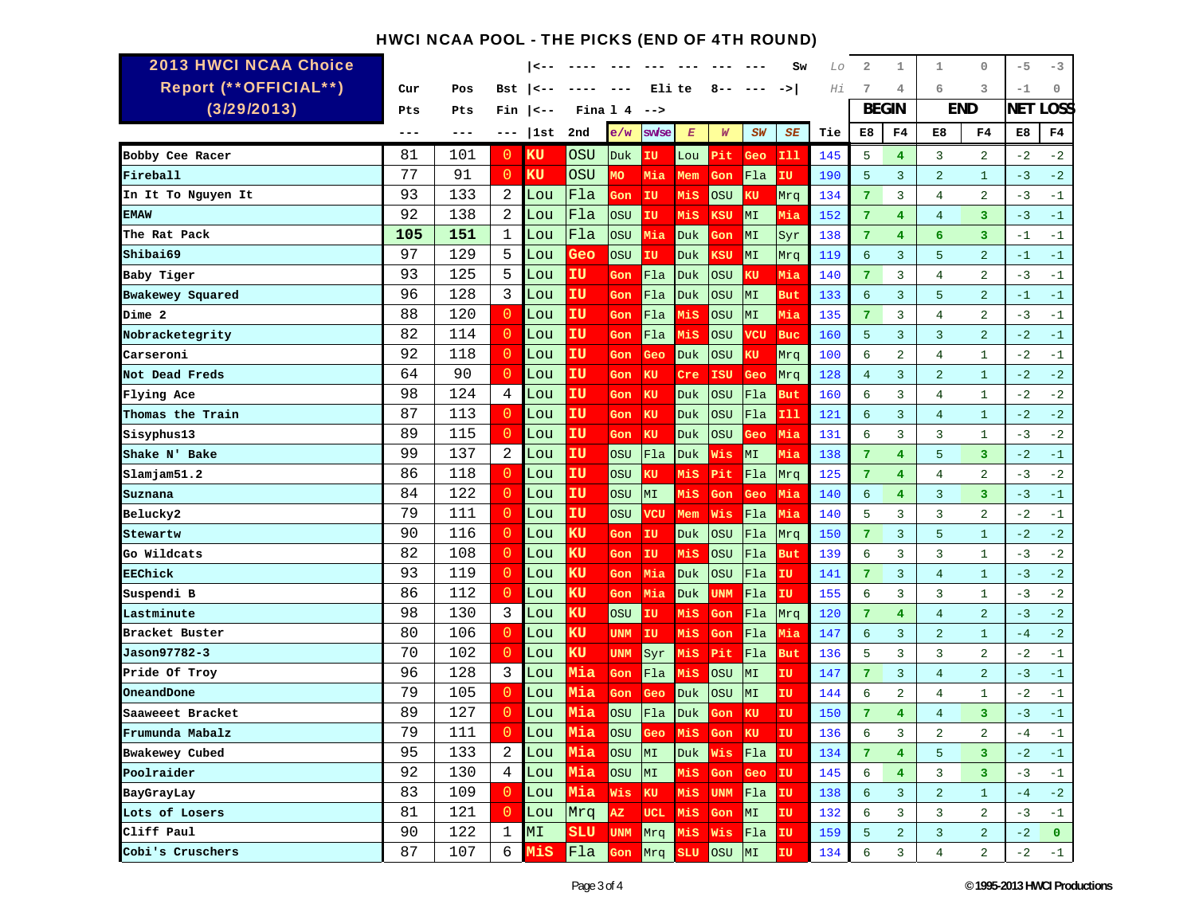# HWCI NCAA POOL - THE PICKS (END OF 4TH ROUND)

| <b>2013 HWCI NCAA Choice</b> |         |     |                 | <       |                 |                 |            |            |               |                     | Sw         | Lo  | 2               | 1                       | 1                       | $\circ$        | $-5$       | -3          |
|------------------------------|---------|-----|-----------------|---------|-----------------|-----------------|------------|------------|---------------|---------------------|------------|-----|-----------------|-------------------------|-------------------------|----------------|------------|-------------|
| Report (** OFFICIAL**)       | Cur     | Pos | Bst             | <−      |                 |                 | Eli te     |            | 8--           |                     | ->         | Ηi  | 7               | 4                       | 6                       | 3              | $-1$       | 0           |
| (3/29/2013)                  | Pts     | Pts | Fin             | <--     |                 | Fina 144        | -->        |            |               |                     |            |     | <b>BEGIN</b>    |                         | <b>END</b>              |                | <b>NET</b> | <b>LOSS</b> |
|                              | $- - -$ | --- | ---             | 1st     | 2nd             | e/w             | sw/se      | $E\,$      | W             | SW                  | SE         | Tie | E8              | F4                      | E8                      | F4             | E8         | F4          |
| Bobby Cee Racer              | 81      | 101 | 0               | ΚU      | OSU             | Duk.            | ΙU         | Lou        | Pit           | Geo                 | 111        | 145 | 5               | $\overline{4}$          | 3                       | 2              | $-2$       | $-2$        |
| Fireball                     | 77      | 91  | 0               | KU      | OSU             | МO              | Mia        | Mem        | Gon           | Fla                 | ΙU         | 190 | 5               | $\overline{3}$          | $\overline{a}$          | $\mathbf{1}$   | $-3$       | $-2$        |
| In It To Nguyen It           | 93      | 133 | 2               | Lou     | Fla             | Gon             | IU         | Mis        | OSU           | κU                  | Mrq        | 134 | 7               | $\overline{3}$          | $\overline{4}$          | $\overline{2}$ | $-3$       | $-1$        |
| EMAW                         | 92      | 138 | 2               | Lou     | Fla             | OSU             | IU         | Mis        | KSU           | MI                  | Mia        | 152 | $7\phantom{.0}$ | 4                       | $\overline{4}$          | 3              | $-3$       | $-1$        |
| The Rat Pack                 | 105     | 151 | 1               | Lou     | Fla             | <b>OSU</b>      | Mia        | <b>Duk</b> | Gon           | MI                  | Syr        | 138 | 7               | 4                       | 6                       | 3              | $-1$       | $-1$        |
| Shibai69                     | 97      | 129 | 5               | Lou     | Geo             | <b>OSU</b>      | IU         | Duk        | ĸsu           | MI                  | Mrq        | 119 | 6               | 3                       | 5                       | $\overline{2}$ | $-1$       | $-1$        |
| Baby Tiger                   | 93      | 125 | 5               | Lou     | ΙU              | Gon             | Fla        | Duk        | OSU           | κu                  | Mia        | 140 | 7               | 3                       | $\overline{4}$          | $\overline{a}$ | $-3$       | $-1$        |
| Bwakewey Squared             | 96      | 128 | 3               | Lou     | ΙU              | Gon             | Fla        | Duk        | OSU           | MI                  | But        | 133 | 6               | $\overline{3}$          | 5                       | $\overline{a}$ | $-1$       | $-1$        |
| Dime 2                       | 88      | 120 | $\overline{0}$  | Lou     | ΙU              | Gon             | Fla        | MiS        | OSU           | MI                  | Mia        | 135 | $7\phantom{.0}$ | 3                       | $\overline{4}$          | $\overline{2}$ | $-3$       | $-1$        |
| Nobracketegrity              | 82      | 114 | $\overline{0}$  | Lou     | ΙU              | Gon             | Fla        | Mis        | <b>OSU</b>    | vcu                 | <b>Buc</b> | 160 | 5               | $\overline{3}$          | $\overline{3}$          | $\overline{a}$ | $-2$       | $-1$        |
| Carseroni                    | 92      | 118 | $\overline{0}$  | Lou     | IU              | Gon             | Geo        | Duk        | <b>OSU</b>    | ΚU                  | Mrq        | 100 | 6               | $\overline{2}$          | 4                       | $\mathbf{1}$   | $-2$       | $-1$        |
| Not Dead Freds               | 64      | 90  | $\overline{0}$  | Lou     | ΙU              | Gon             | KU         | Cre        | ISU           | Geo                 | Mrq        | 128 | 4               | $\overline{3}$          | $\overline{a}$          | $\mathbf{1}$   | $-2$       | $-2$        |
| Flying Ace                   | 98      | 124 | 4               | Lou     | ΙU              | Gon.            | KU         | Duk        | OSU           | Fla                 | <b>But</b> | 160 | 6               | 3                       | $\overline{4}$          | 1              | $-2$       | $-2$        |
| Thomas the Train             | 87      | 113 | $\overline{0}$  | Lou     | ΙU              | Gon             | ΚU         | Duk        | OSU           | Fla                 | 111        | 121 | 6               | $\overline{3}$          | $\overline{4}$          | $\mathbf{1}$   | $-2$       | $-2$        |
| Sisyphus13                   | 89      | 115 | $\overline{0}$  | Lou     | ΙU              | Gon             | <b>KU</b>  | Duk        | OSU           | Geo                 | Mia        | 131 | 6               | 3                       | 3                       | 1              | $-3$       | $-2$        |
| Shake N' Bake                | 99      | 137 | 2               | Lou     | IU              | <b>OSU</b>      | Fla        | <b>Duk</b> | Wis           | MI                  | Mia        | 138 | 7               | 4                       | 5                       | 3              | $-2$       | $-1$        |
| Slamjam51.2                  | 86      | 118 | 0               | Lou     | ΙU              | <b>OSU</b>      | κU         | MiS        | Pit           | Fla                 | Mrq        | 125 | 7               | $\overline{\mathbf{4}}$ | $\overline{4}$          | $\overline{a}$ | $-3$       | $-2$        |
| Suznana                      | 84      | 122 | $\overline{0}$  | Lou     | ΙU              | OSU             | МI         | Mis        | Gon           | Geo                 | Mia        | 140 | 6               | $\overline{4}$          | $\overline{3}$          | 3              | $-3$       | $-1$        |
| Belucky2                     | 79      | 111 | $\overline{0}$  | Lou     | ΙU              | <b>OSU</b>      | vcu        | Mem        | Wis           | Fla                 | Mia        | 140 | 5               | 3                       | 3                       | $\overline{2}$ | $-2$       | $-1$        |
| Stewartw                     | 90      | 116 | $\overline{0}$  | Lou     | ΚU              | Gon             | IU         | Duk.       | <b>OSU</b>    | Fla                 | Mrq        | 150 | $7\phantom{.0}$ | $\overline{3}$          | 5                       | $\mathbf{1}$   | $-2$       | $-2$        |
| Go Wildcats                  | 82      | 108 | $\overline{0}$  | Lou     | ΚU              | Gon             | IU         | Mis        | OSU           | Fla                 | <b>But</b> | 139 | 6               | 3                       | 3                       | $\mathbf{1}$   | $-3$       | $-2$        |
| EEChick                      | 93      | 119 | $\overline{0}$  | Lou     | ĸu              | Gon             | Mia        | Duk        | OSU           | Fla                 | ΙU         | 141 | 7               | $\overline{3}$          | $\overline{4}$          | $\mathbf{1}$   | $-3$       | $-2$        |
| Suspendi B                   | 86      | 112 | $\overline{0}$  | Lou     | ĸu              | Gon             | Mia        | Duk        | UNM           | Fla                 | ΙU         | 155 | 6               | 3                       | 3                       | 1              | $-3$       | $-2$        |
| Lastminute                   | 98      | 130 | 3               | Lou     | ĸu              | <b>OSU</b>      | IU         | MiS        | Gon           | Fla                 | Mrq        | 120 | $7\phantom{.}$  | 4                       | $\overline{4}$          | 2              | $-3$       | $-2$        |
| Bracket Buster               | 80      | 106 | $\overline{0}$  | Lou     | ΚU              | <b>UNM</b>      | IU         | MiS        | Gon           | Fla                 | Mia        | 147 | 6               | 3                       | $\overline{a}$          | $\mathbf{1}$   | $-4$       | $-2$        |
| Jason97782-3                 | 70      | 102 | $\overline{0}$  | Lou     | ΚU              | <b>UNM</b>      | Syr        | Mis        | Pit           | Fla                 | But        | 136 | 5               | 3                       | 3                       | 2              | $-2$       | $-1$        |
| Pride Of Troy                | 96      | 128 | 3               | Lou     | Mia             | Gon             | Fla        | MiS        | OSU           | MI                  | ΙU         | 147 | 7               | $\overline{3}$          | $\overline{4}$          | $\overline{a}$ | $-3$       | $-1$        |
| OneandDone                   | 79      | 105 | $\overline{0}$  | Lou     | Mia             | Gon             | Geo        | Duk        | OSU           | MI                  | IU         | 144 | 6               | $\overline{a}$          | $\overline{4}$          | 1              | $-2$       | $-1$        |
| Saaweeet Bracket             | 89      | 127 | 0               | Lou     | Mia             | <b>OSU</b>      | Fla        | <b>Duk</b> | Gon           | KU                  | IU         | 150 | 7               | $\overline{4}$          | $\overline{4}$          | 3              | $-3$       | $-1$        |
| Frumunda Mabalz              | 79      | 111 | $\circ$         | Lou     | Mia OSU         |                 |            |            | Mis Gon KU IU |                     |            | 136 | 6               | 3                       | $\overline{\mathbf{c}}$ | $\sqrt{2}$     | $-4$       | $-1$        |
| Bwakewey Cubed               | 95      | 133 | 2               | Lou Mia |                 | OSU             | MI         |            | Duk Wis       | Fla <mark>IU</mark> |            | 134 | 7               | $\overline{4}$          | 5                       | 3              | $-2$       | $^{\rm -1}$ |
| Poolraider                   | 92      | 130 | $4\overline{ }$ | Lou     | Mia             | OSU             | MT         | Mis        | Gon Geo IU    |                     |            | 145 | 6               | $\overline{4}$          | 3                       | 3              | $-3$       | $-1$        |
| BayGrayLay                   | 83      | 109 | $\overline{0}$  | Lou     | Mia             | Wis             | KU         | MiS        | UNM Fla       |                     | IU.        | 138 | 6               | 3                       | $\overline{a}$          | $\mathbf{1}$   | $-4$       | $-2$        |
| Lots of Losers               | 81      | 121 | $\circ$         | Lou     | Mrq             | $\overline{AZ}$ | <b>UCL</b> | MiS        | Gon           | MI                  | IU         | 132 | 6               | 3                       | 3                       | 2              | $-3$       | $-1$        |
| Cliff Paul                   | 90      | 122 | $\mathbf{1}$    | MT      | SLU             | <b>UNM</b>      | Mrg Mis    |            |               | Wis Fla             | IU         | 159 | 5               | $\overline{a}$          | 3                       | $\overline{a}$ | $-2$       | $\bullet$   |
| Cobi's Cruschers             | 87      | 107 | 6               | MiS     | Fla Gon Mrg SLU |                 |            |            | OSU MI        |                     | IU         | 134 | 6               | 3                       | $\overline{4}$          | $\overline{2}$ | $-2$       | $-1$        |